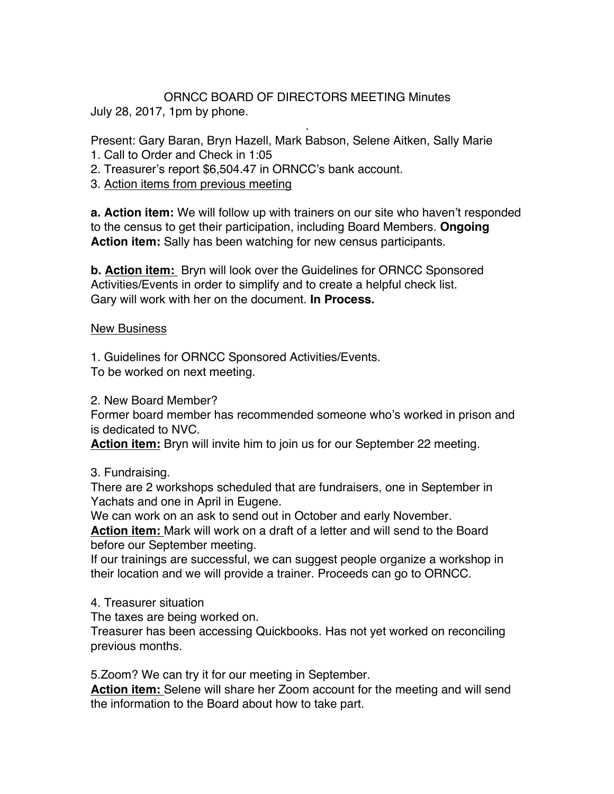## ORNCC BOARD OF DIRECTORS MEETING Minutes July 28, 2017, 1pm by phone.

. Present: Gary Baran, Bryn Hazell, Mark Babson, Selene Aitken, Sally Marie

- 1. Call to Order and Check in 1:05
- 2. Treasurer's report \$6,504.47 in ORNCC's bank account.
- 3. Action items from previous meeting

**a. Action item:** We will follow up with trainers on our site who haven't responded to the census to get their participation, including Board Members. **Ongoing Action item:** Sally has been watching for new census participants.

**b. Action item:** Bryn will look over the Guidelines for ORNCC Sponsored Activities/Events in order to simplify and to create a helpful check list. Gary will work with her on the document. **In Process.**

## New Business

1. Guidelines for ORNCC Sponsored Activities/Events.

To be worked on next meeting.

2. New Board Member?

Former board member has recommended someone who's worked in prison and is dedicated to NVC.

**Action item:** Bryn will invite him to join us for our September 22 meeting.

3. Fundraising.

There are 2 workshops scheduled that are fundraisers, one in September in Yachats and one in April in Eugene.

We can work on an ask to send out in October and early November.

**Action item:** Mark will work on a draft of a letter and will send to the Board before our September meeting.

If our trainings are successful, we can suggest people organize a workshop in their location and we will provide a trainer. Proceeds can go to ORNCC.

4. Treasurer situation

The taxes are being worked on.

Treasurer has been accessing Quickbooks. Has not yet worked on reconciling previous months.

5.Zoom? We can try it for our meeting in September.

**Action item:** Selene will share her Zoom account for the meeting and will send the information to the Board about how to take part.